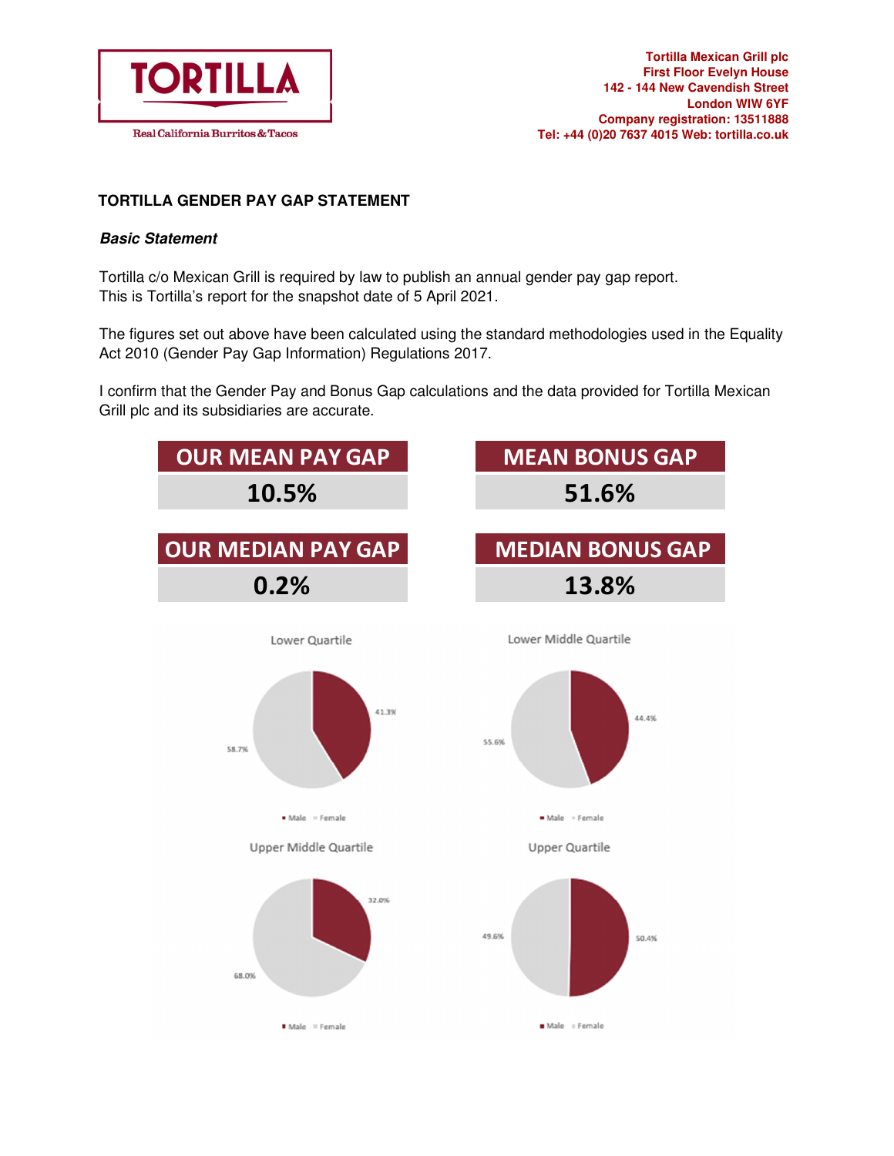

## **TORTILLA GENDER PAY GAP STATEMENT**

## **Basic Statement**

Tortilla c/o Mexican Grill is required by law to publish an annual gender pay gap report. This is Tortilla's report for the snapshot date of 5 April 2021.

The figures set out above have been calculated using the standard methodologies used in the Equality Act 2010 (Gender Pay Gap Information) Regulations 2017.

I confirm that the Gender Pay and Bonus Gap calculations and the data provided for Tortilla Mexican Grill plc and its subsidiaries are accurate.